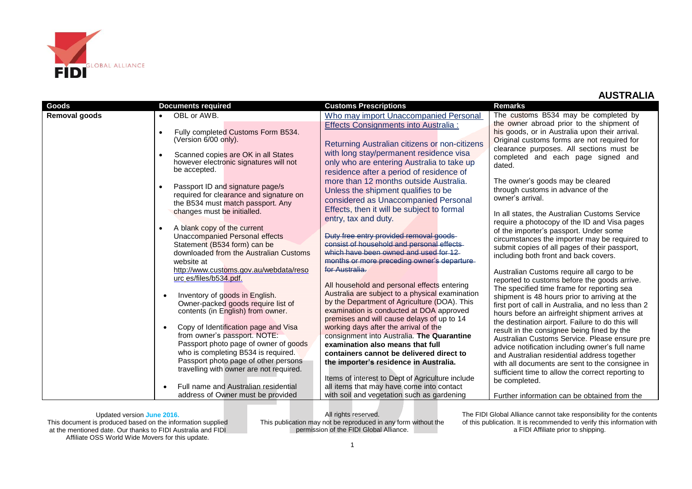

| <b>Goods</b>         | <b>Documents required</b>                                                                                                                                                                                                               | <b>Customs Prescriptions</b>                                                                                                                                                                                                                                                                        | <b>Remarks</b>                                                                                                                                                                                                                                                                                                                                         |
|----------------------|-----------------------------------------------------------------------------------------------------------------------------------------------------------------------------------------------------------------------------------------|-----------------------------------------------------------------------------------------------------------------------------------------------------------------------------------------------------------------------------------------------------------------------------------------------------|--------------------------------------------------------------------------------------------------------------------------------------------------------------------------------------------------------------------------------------------------------------------------------------------------------------------------------------------------------|
| <b>Removal goods</b> | OBL or AWB.                                                                                                                                                                                                                             | Who may import Unaccompanied Personal                                                                                                                                                                                                                                                               | The customs B534 may be completed by                                                                                                                                                                                                                                                                                                                   |
|                      | Fully completed Customs Form B534.<br>$\bullet$<br>(Version 6/00 only).<br>Scanned copies are OK in all States<br>$\bullet$<br>however electronic signatures will not<br>be accepted.                                                   | <b>Effects Consignments into Australia:</b><br>Returning Australian citizens or non-citizens<br>with long stay/permanent residence visa<br>only who are entering Australia to take up<br>residence after a period of residence of                                                                   | the owner abroad prior to the shipment of<br>his goods, or in Australia upon their arrival.<br>Original customs forms are not required for<br>clearance purposes. All sections must be<br>completed and each page signed and<br>dated.                                                                                                                 |
|                      | Passport ID and signature page/s<br>$\bullet$<br>required for clearance and signature on<br>the B534 must match passport. Any                                                                                                           | more than 12 months outside Australia.<br>Unless the shipment qualifies to be<br>considered as Unaccompanied Personal                                                                                                                                                                               | The owner's goods may be cleared<br>through customs in advance of the<br>owner's arrival.                                                                                                                                                                                                                                                              |
|                      | changes must be initialled.<br>A blank copy of the current<br>$\bullet$<br>Unaccompanied Personal effects<br>Statement (B534 form) can be<br>downloaded from the Australian Customs<br>website at                                       | Effects, then it will be subject to formal<br>entry, tax and duty.<br>Duty free entry provided removal goods<br>consist of household and personal effects<br>which have heen owned and used for 12<br>months or more preceding owner's departure                                                    | In all states, the Australian Customs Service<br>require a photocopy of the ID and Visa pages<br>of the importer's passport. Under some<br>circumstances the importer may be required to<br>submit copies of all pages of their passport,<br>including both front and back covers.                                                                     |
|                      | http://www.customs.gov.au/webdata/reso<br>urc es/files/b534.pdf.<br>Inventory of goods in English.<br>Owner-packed goods require list of<br>contents (in English) from owner.<br>Copy of Identification page and Visa                   | for Australia.<br>All household and personal effects entering<br>Australia are subject to a physical examination<br>by the Department of Agriculture (DOA). This<br>examination is conducted at DOA approved<br>premises and will cause delays of up to 14<br>working days after the arrival of the | Australian Customs require all cargo to be<br>reported to customs before the goods arrive.<br>The specified time frame for reporting sea<br>shipment is 48 hours prior to arriving at the<br>first port of call in Australia, and no less than 2<br>hours before an airfreight shipment arrives at<br>the destination airport. Failure to do this will |
|                      | from owner's passport. NOTE:<br>Passport photo page of owner of goods<br>who is completing B534 is required.<br>Passport photo page of other persons<br>travelling with owner are not required.<br>Full name and Australian residential | consignment into Australia. The Quarantine<br>examination also means that full<br>containers cannot be delivered direct to<br>the importer's residence in Australia.<br>Items of interest to Dept of Agriculture include<br>all items that may have come into contact                               | result in the consignee being fined by the<br>Australian Customs Service. Please ensure pre<br>advice notification including owner's full name<br>and Australian residential address together<br>with all documents are sent to the consignee in<br>sufficient time to allow the correct reporting to<br>be completed.                                 |
|                      | address of Owner must be provided                                                                                                                                                                                                       | with soil and vegetation such as gardening                                                                                                                                                                                                                                                          | Further information can be obtained from the                                                                                                                                                                                                                                                                                                           |

Updated version **June 2016.** This document is produced based on the information supplied at the mentioned date. Our thanks to FIDI Australia and FIDI Affiliate OSS World Wide Movers for this update.

All rights reserved. This publication may not be reproduced in any form without the permission of the FIDI Global Alliance.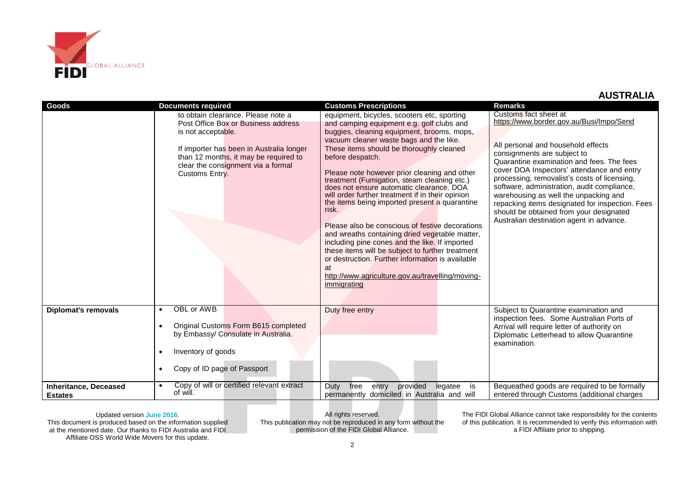

| Goods                                          | <b>Documents required</b>                                                                                                                                                                                                                    | <b>Customs Prescriptions</b>                                                                                                                                                                                                                                                                                                                                                                                                                                                                                                                                                                                                                                                                                                                                                                                                                       | <b>Remarks</b>                                                                                                                                                                                                                                                                                                                                                                                                                                                                                                      |
|------------------------------------------------|----------------------------------------------------------------------------------------------------------------------------------------------------------------------------------------------------------------------------------------------|----------------------------------------------------------------------------------------------------------------------------------------------------------------------------------------------------------------------------------------------------------------------------------------------------------------------------------------------------------------------------------------------------------------------------------------------------------------------------------------------------------------------------------------------------------------------------------------------------------------------------------------------------------------------------------------------------------------------------------------------------------------------------------------------------------------------------------------------------|---------------------------------------------------------------------------------------------------------------------------------------------------------------------------------------------------------------------------------------------------------------------------------------------------------------------------------------------------------------------------------------------------------------------------------------------------------------------------------------------------------------------|
|                                                | to obtain clearance. Please note a<br>Post Office Box or Business address<br>is not acceptable.<br>If importer has been in Australia longer<br>than 12 months, it may be required to<br>clear the consignment via a formal<br>Customs Entry. | equipment, bicycles, scooters etc, sporting<br>and camping equipment e.g. golf clubs and<br>buggies, cleaning equipment, brooms, mops,<br>vacuum cleaner waste bags and the like.<br>These items should be thoroughly cleaned<br>before despatch.<br>Please note however prior cleaning and other<br>treatment (Fumigation, steam cleaning etc.)<br>does not ensure automatic clearance. DOA<br>will order further treatment if in their opinion<br>the items being imported present a quarantine<br>risk.<br>Please also be conscious of festive decorations<br>and wreaths containing dried vegetable matter,<br>including pine cones and the like. If imported<br>these items will be subject to further treatment<br>or destruction. Further information is available<br>at<br>http://www.agriculture.gov.au/travelling/moving-<br>immigrating | Customs fact sheet at<br>https://www.border.gov.au/Busi/Impo/Send<br>All personal and household effects<br>consignments are subject to<br>Quarantine examination and fees. The fees<br>cover DOA Inspectors' attendance and entry<br>processing, removalist's costs of licensing,<br>software, administration, audit compliance,<br>warehousing as well the unpacking and<br>repacking items designated for inspection. Fees<br>should be obtained from your designated<br>Australian destination agent in advance. |
| <b>Diplomat's removals</b>                     | OBL or AWB<br>$\bullet$<br>Original Customs Form B615 completed<br>$\bullet$<br>by Embassy/ Consulate in Australia.<br>Inventory of goods<br>$\bullet$<br>Copy of ID page of Passport<br>$\bullet$                                           | Duty free entry                                                                                                                                                                                                                                                                                                                                                                                                                                                                                                                                                                                                                                                                                                                                                                                                                                    | Subject to Quarantine examination and<br>inspection fees. Some Australian Ports of<br>Arrival will require letter of authority on<br>Diplomatic Letterhead to allow Quarantine<br>examination.                                                                                                                                                                                                                                                                                                                      |
| <b>Inheritance, Deceased</b><br><b>Estates</b> | Copy of will or certified relevant extract<br>$\bullet$<br>of will.                                                                                                                                                                          | Duty<br>free<br>entry<br>provided<br>legatee<br>is<br>permanently domiciled in Australia and will                                                                                                                                                                                                                                                                                                                                                                                                                                                                                                                                                                                                                                                                                                                                                  | Bequeathed goods are required to be formally<br>entered through Customs (additional charges                                                                                                                                                                                                                                                                                                                                                                                                                         |

Updated version **June 2016.** This document is produced based on the information supplied at the mentioned date. Our thanks to FIDI Australia and FIDI Affiliate OSS World Wide Movers for this update.

All rights reserved. This publication may not be reproduced in any form without the permission of the FIDI Global Alliance.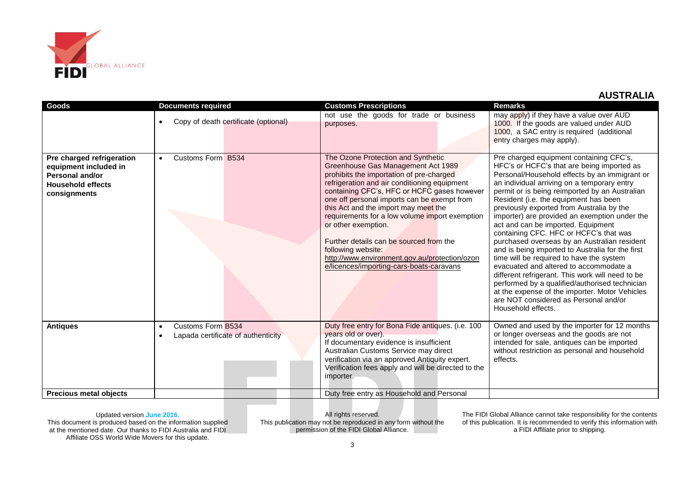

| <b>Goods</b>                                                                                                             | <b>Documents required</b>                                                         | <b>Customs Prescriptions</b>                                                                                                                                                                                                                                                                                                                                                                                                                                                                                                                      | <b>Remarks</b>                                                                                                                                                                                                                                                                                                                                                                                                                                                                                                                                                                                                                                                                                                                                                                                                                                                                  |
|--------------------------------------------------------------------------------------------------------------------------|-----------------------------------------------------------------------------------|---------------------------------------------------------------------------------------------------------------------------------------------------------------------------------------------------------------------------------------------------------------------------------------------------------------------------------------------------------------------------------------------------------------------------------------------------------------------------------------------------------------------------------------------------|---------------------------------------------------------------------------------------------------------------------------------------------------------------------------------------------------------------------------------------------------------------------------------------------------------------------------------------------------------------------------------------------------------------------------------------------------------------------------------------------------------------------------------------------------------------------------------------------------------------------------------------------------------------------------------------------------------------------------------------------------------------------------------------------------------------------------------------------------------------------------------|
|                                                                                                                          | Copy of death certificate (optional)<br>$\bullet$                                 | not use the goods for trade or business<br>purposes.                                                                                                                                                                                                                                                                                                                                                                                                                                                                                              | may apply) if they have a value over AUD<br>1000. If the goods are valued under AUD<br>1000, a SAC entry is required (additional<br>entry charges may apply).                                                                                                                                                                                                                                                                                                                                                                                                                                                                                                                                                                                                                                                                                                                   |
| Pre charged refrigeration<br>equipment included in<br><b>Personal and/or</b><br><b>Household effects</b><br>consignments | Customs Form B534<br>$\bullet$                                                    | The Ozone Protection and Synthetic<br>Greenhouse Gas Management Act 1989<br>prohibits the importation of pre-charged<br>refrigeration and air conditioning equipment<br>containing CFC's, HFC or HCFC gases however<br>one off personal imports can be exempt from<br>this Act and the import may meet the<br>requirements for a low volume import exemption<br>or other exemption.<br>Further details can be sourced from the<br>following website:<br>http://www.environment.gov.au/protection/ozon<br>e/licences/importing-cars-boats-caravans | Pre charged equipment containing CFC's,<br>HFC's or HCFC's that are being imported as<br>Personal/Household effects by an immigrant or<br>an individual arriving on a temporary entry<br>permit or is being reimported by an Australian<br>Resident (i.e. the equipment has been<br>previously exported from Australia by the<br>importer) are provided an exemption under the<br>act and can be imported. Equipment<br>containing CFC. HFC or HCFC's that was<br>purchased overseas by an Australian resident<br>and is being imported to Australia for the first<br>time will be required to have the system<br>evacuated and altered to accommodate a<br>different refrigerant. This work will need to be<br>performed by a qualified/authorised technician<br>at the expense of the importer. Motor Vehicles<br>are NOT considered as Personal and/or<br>Household effects. |
| <b>Antiques</b>                                                                                                          | Customs Form B534<br>$\bullet$<br>Lapada certificate of authenticity<br>$\bullet$ | Duty free entry for Bona Fide antiques. (i.e. 100<br>years old or over).<br>If documentary evidence is insufficient<br>Australian Customs Service may direct<br>verification via an approved Antiquity expert.<br>Verification fees apply and will be directed to the<br>importer.                                                                                                                                                                                                                                                                | Owned and used by the importer for 12 months<br>or longer overseas and the goods are not<br>intended for sale, antiques can be imported<br>without restriction as personal and household<br>effects.                                                                                                                                                                                                                                                                                                                                                                                                                                                                                                                                                                                                                                                                            |
| <b>Precious metal objects</b>                                                                                            |                                                                                   | Duty free entry as Household and Personal                                                                                                                                                                                                                                                                                                                                                                                                                                                                                                         |                                                                                                                                                                                                                                                                                                                                                                                                                                                                                                                                                                                                                                                                                                                                                                                                                                                                                 |

Updated version **June 2016.** This document is produced based on the information supplied at the mentioned date. Our thanks to FIDI Australia and FIDI Affiliate OSS World Wide Movers for this update.

All rights reserved. This publication may not be reproduced in any form without the permission of the FIDI Global Alliance.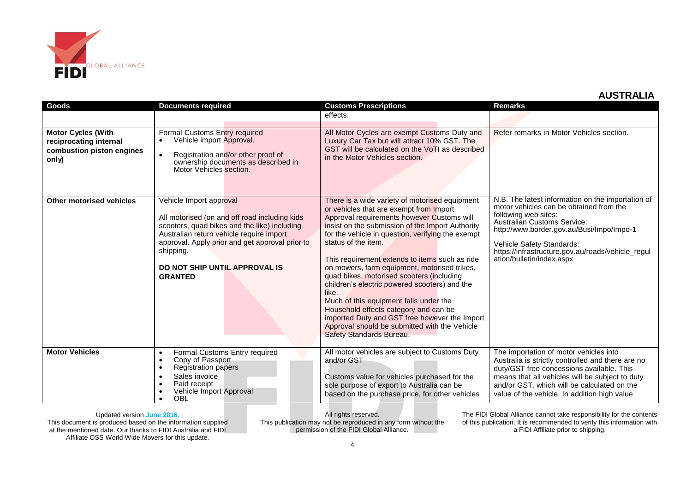

| Goods                                                                                     | <b>Documents required</b>                                                                                                                                                                                                                                                               | <b>Customs Prescriptions</b>                                                                                                                                                                                                                                                                                                                                                                                                                                                                                                                                                                                                                                                                      | Remarks                                                                                                                                                                                                                                                                                                         |
|-------------------------------------------------------------------------------------------|-----------------------------------------------------------------------------------------------------------------------------------------------------------------------------------------------------------------------------------------------------------------------------------------|---------------------------------------------------------------------------------------------------------------------------------------------------------------------------------------------------------------------------------------------------------------------------------------------------------------------------------------------------------------------------------------------------------------------------------------------------------------------------------------------------------------------------------------------------------------------------------------------------------------------------------------------------------------------------------------------------|-----------------------------------------------------------------------------------------------------------------------------------------------------------------------------------------------------------------------------------------------------------------------------------------------------------------|
|                                                                                           |                                                                                                                                                                                                                                                                                         | effects.                                                                                                                                                                                                                                                                                                                                                                                                                                                                                                                                                                                                                                                                                          |                                                                                                                                                                                                                                                                                                                 |
| <b>Motor Cycles (With</b><br>reciprocating internal<br>combustion piston engines<br>only) | Formal Customs Entry required<br>Vehicle import Approval.<br>Registration and/or other proof of<br>$\bullet$<br>ownership documents as described in<br>Motor Vehicles section.                                                                                                          | All Motor Cycles are exempt Customs Duty and<br>Luxury Car Tax but will attract 10% GST. The<br>GST will be calculated on the VoTI as described<br>in the Motor Vehicles section.                                                                                                                                                                                                                                                                                                                                                                                                                                                                                                                 | Refer remarks in Motor Vehicles section.                                                                                                                                                                                                                                                                        |
| <b>Other motorised vehicles</b>                                                           | Vehicle Import approval<br>All motorised (on and off road including kids<br>scooters, quad bikes and the like) including<br>Australian return vehicle require import<br>approval. Apply prior and get approval prior to<br>shipping.<br>DO NOT SHIP UNTIL APPROVAL IS<br><b>GRANTED</b> | There is a wide variety of motorised equipment<br>or vehicles that are exempt from Import<br>Approval requirements however Customs will<br>insist on the submission of the Import Authority<br>for the vehicle in question, verifying the exempt<br>status of the item.<br>This requirement extends to items such as ride<br>on mowers, farm equipment, motorised trikes,<br>quad bikes, motorised scooters (including<br>children's electric powered scooters) and the<br>like.<br>Much of this equipment falls under the<br>Household effects category and can be<br>imported Duty and GST free however the Import<br>Approval should be submitted with the Vehicle<br>Safety Standards Bureau. | N.B. The latest information on the importation of<br>motor vehicles can be obtained from the<br>following web sites:<br>Australian Customs Service:<br>http://www.border.gov.au/Busi/Impo/Impo-1<br>Vehicle Safety Standards:<br>https://infrastructure.gov.au/roads/vehicle_regul<br>ation/bulletin/index.aspx |
| <b>Motor Vehicles</b>                                                                     | Formal Customs Entry required<br>$\bullet$<br>Copy of Passport<br>$\bullet$<br><b>Registration papers</b><br>$\bullet$<br>Sales invoice<br>$\bullet$<br>Paid receipt<br>٠<br>Vehicle Import Approval<br>OBL                                                                             | All motor vehicles are subject to Customs Duty<br>and/or GST<br>Customs value for vehicles purchased for the<br>sole purpose of export to Australia can be<br>based on the purchase price, for other vehicles                                                                                                                                                                                                                                                                                                                                                                                                                                                                                     | The importation of motor vehicles into<br>Australia is strictly controlled and there are no<br>duty/GST free concessions available. This<br>means that all vehicles will be subject to duty<br>and/or GST, which will be calculated on the<br>value of the vehicle. In addition high value                      |

Updated version **June 2016.** This document is produced based on the information supplied at the mentioned date. Our thanks to FIDI Australia and FIDI Affiliate OSS World Wide Movers for this update.

All rights reserved. This publication may not be reproduced in any form without the permission of the FIDI Global Alliance.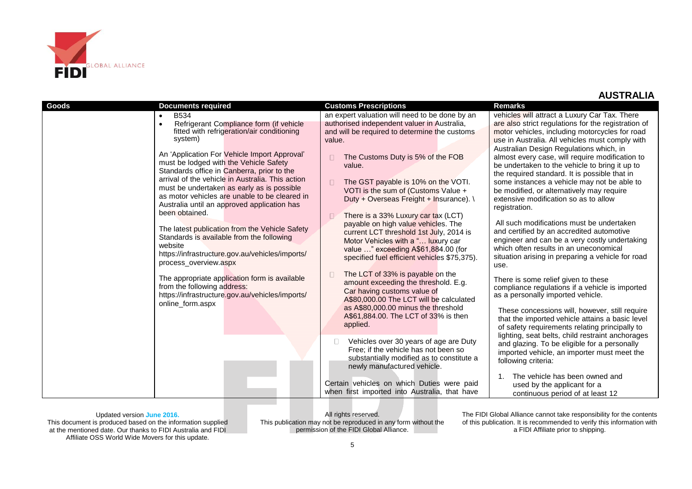

| <b>Goods</b> | <b>Documents required</b>                                                                                                                                                                                                                                                                                                                                                                                                                                                                                                                                                                                                                                         | <b>Customs Prescriptions</b>                                                                                                                                                                                                                                                                                                                                                                                                                                                                                                                                                           | <b>Remarks</b>                                                                                                                                                                                                                                                                                                                                                                                                                                                                                                                                                                                                                                                                                                                                                                                                     |
|--------------|-------------------------------------------------------------------------------------------------------------------------------------------------------------------------------------------------------------------------------------------------------------------------------------------------------------------------------------------------------------------------------------------------------------------------------------------------------------------------------------------------------------------------------------------------------------------------------------------------------------------------------------------------------------------|----------------------------------------------------------------------------------------------------------------------------------------------------------------------------------------------------------------------------------------------------------------------------------------------------------------------------------------------------------------------------------------------------------------------------------------------------------------------------------------------------------------------------------------------------------------------------------------|--------------------------------------------------------------------------------------------------------------------------------------------------------------------------------------------------------------------------------------------------------------------------------------------------------------------------------------------------------------------------------------------------------------------------------------------------------------------------------------------------------------------------------------------------------------------------------------------------------------------------------------------------------------------------------------------------------------------------------------------------------------------------------------------------------------------|
|              | <b>B534</b><br>Refrigerant Compliance form (if vehicle<br>fitted with refrigeration/air conditioning<br>system)<br>An 'Application For Vehicle Import Approval'<br>must be lodged with the Vehicle Safety<br>Standards office in Canberra, prior to the<br>arrival of the vehicle in Australia. This action<br>must be undertaken as early as is possible<br>as motor vehicles are unable to be cleared in<br>Australia until an approved application has<br>been obtained.<br>The latest publication from the Vehicle Safety<br>Standards is available from the following<br>website<br>https://infrastructure.gov.au/vehicles/imports/<br>process overview.aspx | an expert valuation will need to be done by an<br>authorised independent valuer in Australia,<br>and will be required to determine the customs<br>value.<br>The Customs Duty is 5% of the FOB<br>value.<br>The GST payable is 10% on the VOTI.<br>VOTI is the sum of (Customs Value +<br>Duty + Overseas Freight + Insurance). \<br>There is a 33% Luxury car tax (LCT)<br>payable on high value vehicles. The<br>current LCT threshold 1st July, 2014 is<br>Motor Vehicles with a " luxury car<br>value " exceeding A\$61,884.00 (for<br>specified fuel efficient vehicles \$75,375). | vehicles will attract a Luxury Car Tax. There<br>are also strict regulations for the registration of<br>motor vehicles, including motorcycles for road<br>use in Australia. All vehicles must comply with<br>Australian Design Regulations which, in<br>almost every case, will require modification to<br>be undertaken to the vehicle to bring it up to<br>the required standard. It is possible that in<br>some instances a vehicle may not be able to<br>be modified, or alternatively may require<br>extensive modification so as to allow<br>registration.<br>All such modifications must be undertaken<br>and certified by an accredited automotive<br>engineer and can be a very costly undertaking<br>which often results in an uneconomical<br>situation arising in preparing a vehicle for road<br>use. |
|              | The appropriate application form is available<br>from the following address:<br>https://infrastructure.gov.au/vehicles/imports/<br>online_form.aspx                                                                                                                                                                                                                                                                                                                                                                                                                                                                                                               | The LCT of 33% is payable on the<br>amount exceeding the threshold. E.g.<br>Car having customs value of<br>A\$80,000.00 The LCT will be calculated<br>as A\$80,000.00 minus the threshold<br>A\$61,884.00. The LCT of 33% is then<br>applied.<br>Vehicles over 30 years of age are Duty                                                                                                                                                                                                                                                                                                | There is some relief given to these<br>compliance regulations if a vehicle is imported<br>as a personally imported vehicle.<br>These concessions will, however, still require<br>that the imported vehicle attains a basic level<br>of safety requirements relating principally to<br>lighting, seat belts, child restraint anchorages<br>and glazing. To be eligible for a personally                                                                                                                                                                                                                                                                                                                                                                                                                             |
|              |                                                                                                                                                                                                                                                                                                                                                                                                                                                                                                                                                                                                                                                                   | Free; if the vehicle has not been so<br>substantially modified as to constitute a<br>newly manufactured vehicle.<br>Certain vehicles on which Duties were paid<br>when first imported into Australia, that have                                                                                                                                                                                                                                                                                                                                                                        | imported vehicle, an importer must meet the<br>following criteria:<br>The vehicle has been owned and<br>$\mathbf{1}$ .<br>used by the applicant for a<br>continuous period of at least 12                                                                                                                                                                                                                                                                                                                                                                                                                                                                                                                                                                                                                          |

Updated version **June 2016.** This document is produced based on the information supplied at the mentioned date. Our thanks to FIDI Australia and FIDI Affiliate OSS World Wide Movers for this update.

All rights reserved. This publication may not be reproduced in any form without the permission of the FIDI Global Alliance.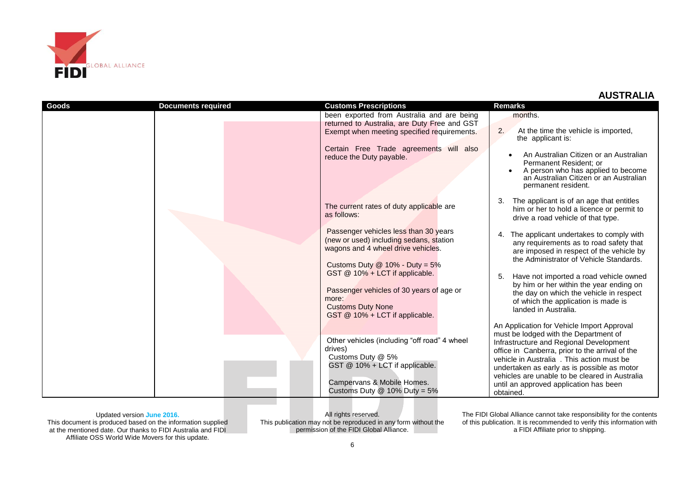

| Goods | <b>Documents required</b> | <b>Customs Prescriptions</b>                                                                                                                                                   | <b>Remarks</b>                                                                                                                                                                                                                                                                                                                           |
|-------|---------------------------|--------------------------------------------------------------------------------------------------------------------------------------------------------------------------------|------------------------------------------------------------------------------------------------------------------------------------------------------------------------------------------------------------------------------------------------------------------------------------------------------------------------------------------|
|       |                           | been exported from Australia and are being                                                                                                                                     | months.                                                                                                                                                                                                                                                                                                                                  |
|       |                           | returned to Australia, are Duty Free and GST                                                                                                                                   |                                                                                                                                                                                                                                                                                                                                          |
|       |                           | Exempt when meeting specified requirements.                                                                                                                                    | 2.<br>At the time the vehicle is imported,<br>the applicant is:                                                                                                                                                                                                                                                                          |
|       |                           | Certain Free Trade agreements will also<br>reduce the Duty payable.                                                                                                            | An Australian Citizen or an Australian<br>Permanent Resident; or<br>A person who has applied to become<br>an Australian Citizen or an Australian<br>permanent resident.                                                                                                                                                                  |
|       |                           | The current rates of duty applicable are<br>as follows:                                                                                                                        | The applicant is of an age that entitles<br>him or her to hold a licence or permit to<br>drive a road vehicle of that type.                                                                                                                                                                                                              |
|       |                           | Passenger vehicles less than 30 years<br>(new or used) including sedans, station<br>wagons and 4 wheel drive vehicles.                                                         | The applicant undertakes to comply with<br>4.<br>any requirements as to road safety that<br>are imposed in respect of the vehicle by<br>the Administrator of Vehicle Standards.                                                                                                                                                          |
|       |                           | Customs Duty $@$ 10% - Duty = 5%<br>GST @ 10% + LCT if applicable.                                                                                                             | 5.<br>Have not imported a road vehicle owned<br>by him or her within the year ending on                                                                                                                                                                                                                                                  |
|       |                           | Passenger vehicles of 30 years of age or<br>more:<br><b>Customs Duty None</b><br>GST @ 10% + LCT if applicable.                                                                | the day on which the vehicle in respect<br>of which the application is made is<br>landed in Australia.                                                                                                                                                                                                                                   |
|       |                           |                                                                                                                                                                                | An Application for Vehicle Import Approval                                                                                                                                                                                                                                                                                               |
|       |                           | Other vehicles (including "off road" 4 wheel<br>drives)<br>Customs Duty @ 5%<br>GST @ 10% + LCT if applicable.<br>Campervans & Mobile Homes.<br>Customs Duty $@$ 10% Duty = 5% | must be lodged with the Department of<br>Infrastructure and Regional Development<br>office in Canberra, prior to the arrival of the<br>vehicle in Australia. This action must be<br>undertaken as early as is possible as motor<br>vehicles are unable to be cleared in Australia<br>until an approved application has been<br>obtained. |

Updated version **June 2016.** This document is produced based on the information supplied at the mentioned date. Our thanks to FIDI Australia and FIDI Affiliate OSS World Wide Movers for this update.

All rights reserved. This publication may not be reproduced in any form without the permission of the FIDI Global Alliance.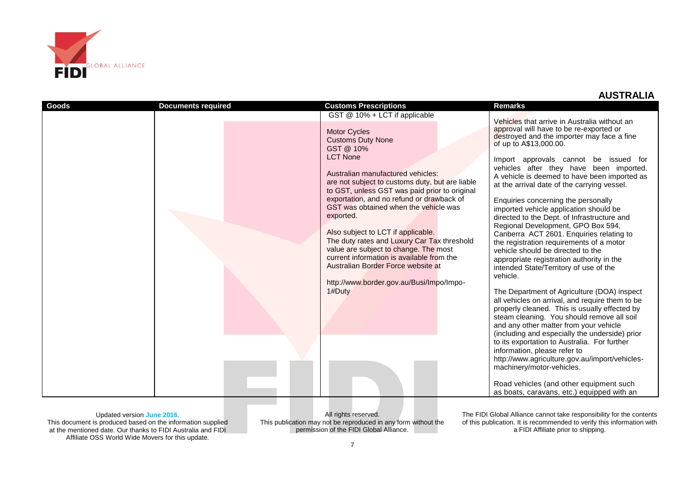

| <b>Goods</b> | <b>Documents required</b> | <b>Customs Prescriptions</b>                                                                                                                                                                                                                                                                                                                                                                                                                                                                                                                                                                                                        | <b>Remarks</b>                                                                                                                                                                                                                                                                                                                                                                                                                                                                                                                                                                                                                                                                                                                                                                                                                                                                                                                                                                                                                                                                                                                                                                                                                                                                                                |
|--------------|---------------------------|-------------------------------------------------------------------------------------------------------------------------------------------------------------------------------------------------------------------------------------------------------------------------------------------------------------------------------------------------------------------------------------------------------------------------------------------------------------------------------------------------------------------------------------------------------------------------------------------------------------------------------------|---------------------------------------------------------------------------------------------------------------------------------------------------------------------------------------------------------------------------------------------------------------------------------------------------------------------------------------------------------------------------------------------------------------------------------------------------------------------------------------------------------------------------------------------------------------------------------------------------------------------------------------------------------------------------------------------------------------------------------------------------------------------------------------------------------------------------------------------------------------------------------------------------------------------------------------------------------------------------------------------------------------------------------------------------------------------------------------------------------------------------------------------------------------------------------------------------------------------------------------------------------------------------------------------------------------|
|              |                           | GST @ 10% + LCT if applicable<br><b>Motor Cycles</b><br><b>Customs Duty None</b><br>GST @ 10%<br><b>LCT None</b><br>Australian manufactured vehicles:<br>are not subject to customs duty, but are liable<br>to GST, unless GST was paid prior to original<br>exportation, and no refund or drawback of<br>GST was obtained when the vehicle was<br>exported.<br>Also subject to LCT if applicable.<br>The duty rates and Luxury Car Tax threshold<br>value are subject to change. The most<br>current information is available from the<br>Australian Border Force website at<br>http://www.border.gov.au/Busi/Impo/Impo-<br>1#Duty | Vehicles that arrive in Australia without an<br>approval will have to be re-exported or<br>destroyed and the importer may face a fine<br>of up to A\$13,000.00.<br>Import approvals cannot be issued for<br>vehicles after they have been imported.<br>A vehicle is deemed to have been imported as<br>at the arrival date of the carrying vessel.<br>Enquiries concerning the personally<br>imported vehicle application should be<br>directed to the Dept. of Infrastructure and<br>Regional Development, GPO Box 594,<br>Canberra ACT 2601. Enquiries relating to<br>the registration requirements of a motor<br>vehicle should be directed to the<br>appropriate registration authority in the<br>intended State/Territory of use of the<br>vehicle.<br>The Department of Agriculture (DOA) inspect<br>all vehicles on arrival, and require them to be<br>properly cleaned. This is usually effected by<br>steam cleaning. You should remove all soil<br>and any other matter from your vehicle<br>(including and especially the underside) prior<br>to its exportation to Australia. For further<br>information, please refer to<br>http://www.agriculture.gov.au/import/vehicles-<br>machinery/motor-vehicles.<br>Road vehicles (and other equipment such<br>as boats, caravans, etc.) equipped with an |

Updated version **June 2016.** This document is produced based on the information supplied at the mentioned date. Our thanks to FIDI Australia and FIDI Affiliate OSS World Wide Movers for this update.

All rights reserved. This publication may not be reproduced in any form without the permission of the FIDI Global Alliance.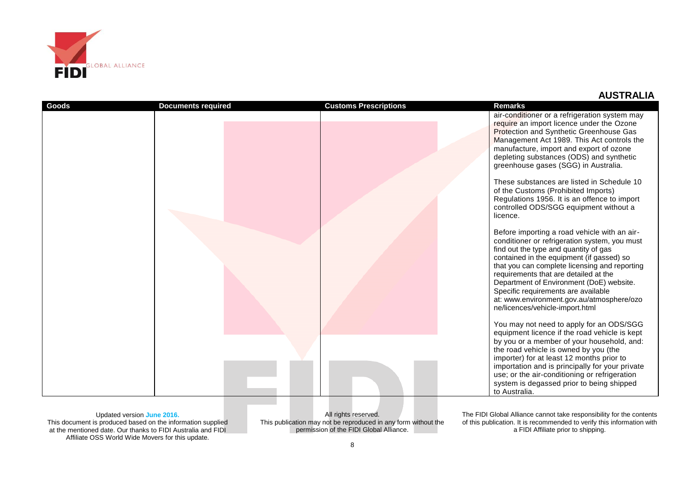

| Goods | <b>Documents required</b> | <b>Customs Prescriptions</b> | <b>Remarks</b>                                                                                                                                                                                                                                                                                                                                                                                                                                   |
|-------|---------------------------|------------------------------|--------------------------------------------------------------------------------------------------------------------------------------------------------------------------------------------------------------------------------------------------------------------------------------------------------------------------------------------------------------------------------------------------------------------------------------------------|
|       |                           |                              | air-conditioner or a refrigeration system may<br>require an import licence under the Ozone<br>Protection and Synthetic Greenhouse Gas<br>Management Act 1989. This Act controls the<br>manufacture, import and export of ozone<br>depleting substances (ODS) and synthetic<br>greenhouse gases (SGG) in Australia.                                                                                                                               |
|       |                           |                              | These substances are listed in Schedule 10<br>of the Customs (Prohibited Imports)<br>Regulations 1956. It is an offence to import<br>controlled ODS/SGG equipment without a<br>licence.                                                                                                                                                                                                                                                          |
|       |                           |                              | Before importing a road vehicle with an air-<br>conditioner or refrigeration system, you must<br>find out the type and quantity of gas<br>contained in the equipment (if gassed) so<br>that you can complete licensing and reporting<br>requirements that are detailed at the<br>Department of Environment (DoE) website.<br>Specific requirements are available<br>at: www.environment.gov.au/atmosphere/ozo<br>ne/licences/vehicle-import.html |
|       |                           |                              | You may not need to apply for an ODS/SGG<br>equipment licence if the road vehicle is kept<br>by you or a member of your household, and:<br>the road vehicle is owned by you (the<br>importer) for at least 12 months prior to<br>importation and is principally for your private<br>use; or the air-conditioning or refrigeration<br>system is degassed prior to being shipped<br>to Australia.                                                  |

Updated version **June 2016.** This document is produced based on the information supplied at the mentioned date. Our thanks to FIDI Australia and FIDI Affiliate OSS World Wide Movers for this update.

All rights reserved. This publication may not be reproduced in any form without the permission of the FIDI Global Alliance.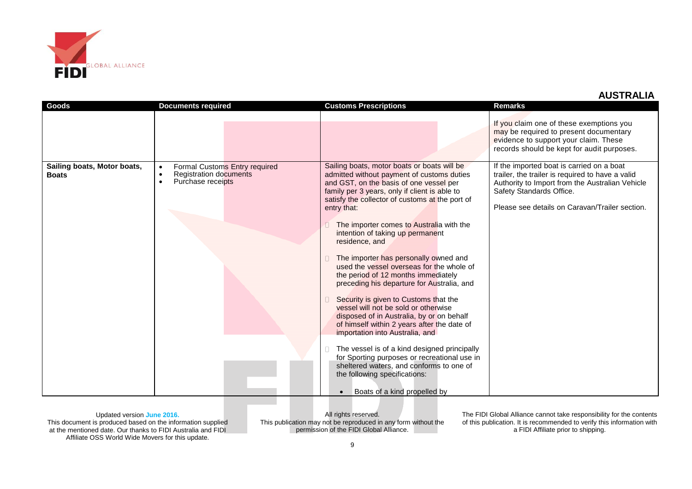

| <b>Goods</b>                                | <b>Documents required</b>                                                                                                  | <b>Customs Prescriptions</b>                                                                                                                                                                                                                                                                                                                                                                                                                                                                                                                                                                                                                                                                                                                                                                                                                                                                                                                                                   | Remarks                                                                                                                                                                                                                        |
|---------------------------------------------|----------------------------------------------------------------------------------------------------------------------------|--------------------------------------------------------------------------------------------------------------------------------------------------------------------------------------------------------------------------------------------------------------------------------------------------------------------------------------------------------------------------------------------------------------------------------------------------------------------------------------------------------------------------------------------------------------------------------------------------------------------------------------------------------------------------------------------------------------------------------------------------------------------------------------------------------------------------------------------------------------------------------------------------------------------------------------------------------------------------------|--------------------------------------------------------------------------------------------------------------------------------------------------------------------------------------------------------------------------------|
|                                             |                                                                                                                            |                                                                                                                                                                                                                                                                                                                                                                                                                                                                                                                                                                                                                                                                                                                                                                                                                                                                                                                                                                                | If you claim one of these exemptions you<br>may be required to present documentary<br>evidence to support your claim. These<br>records should be kept for audit purposes.                                                      |
| Sailing boats, Motor boats,<br><b>Boats</b> | Formal Customs Entry required<br>$\bullet$<br><b>Registration documents</b><br>$\bullet$<br>Purchase receipts<br>$\bullet$ | Sailing boats, motor boats or boats will be<br>admitted without payment of customs duties<br>and GST, on the basis of one vessel per<br>family per 3 years, only if client is able to<br>satisfy the collector of customs at the port of<br>entry that:<br>The importer comes to Australia with the<br>intention of taking up permanent<br>residence, and<br>The importer has personally owned and<br>used the vessel overseas for the whole of<br>the period of 12 months immediately<br>preceding his departure for Australia, and<br>Security is given to Customs that the<br>vessel will not be sold or otherwise<br>disposed of in Australia, by or on behalf<br>of himself within 2 years after the date of<br>importation into Australia, and<br>The vessel is of a kind designed principally<br>for Sporting purposes or recreational use in<br>sheltered waters, and conforms to one of<br>the following specifications:<br>Boats of a kind propelled by<br>$\bullet$ | If the imported boat is carried on a boat<br>trailer, the trailer is required to have a valid<br>Authority to Import from the Australian Vehicle<br>Safety Standards Office.<br>Please see details on Caravan/Trailer section. |

Updated version **June 2016.** This document is produced based on the information supplied at the mentioned date. Our thanks to FIDI Australia and FIDI Affiliate OSS World Wide Movers for this update.

All rights reserved. This publication may not be reproduced in any form without the permission of the FIDI Global Alliance.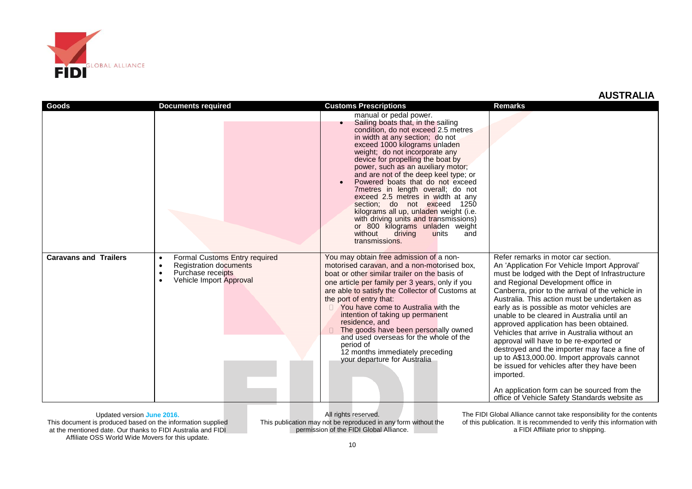

| Goods                        | <b>Documents required</b>                                                                                                                                          | <b>Customs Prescriptions</b>                                                                                                                                                                                                                                                                                                                                                                                                                                                                                                                                                                                                                                                        | <b>Remarks</b>                                                                                                                                                                                                                                                                                                                                                                                                                                                                                                                                                                                                                                                                                                                                                                |
|------------------------------|--------------------------------------------------------------------------------------------------------------------------------------------------------------------|-------------------------------------------------------------------------------------------------------------------------------------------------------------------------------------------------------------------------------------------------------------------------------------------------------------------------------------------------------------------------------------------------------------------------------------------------------------------------------------------------------------------------------------------------------------------------------------------------------------------------------------------------------------------------------------|-------------------------------------------------------------------------------------------------------------------------------------------------------------------------------------------------------------------------------------------------------------------------------------------------------------------------------------------------------------------------------------------------------------------------------------------------------------------------------------------------------------------------------------------------------------------------------------------------------------------------------------------------------------------------------------------------------------------------------------------------------------------------------|
|                              |                                                                                                                                                                    | manual or pedal power.<br>Sailing boats that, in the sailing<br>$\bullet$<br>condition, do not exceed 2.5 metres<br>in width at any section; do not<br>exceed 1000 kilograms unladen<br>weight; do not incorporate any<br>device for propelling the boat by<br>power, such as an auxiliary motor;<br>and are not of the deep keel type; or<br>Powered boats that do not exceed<br>$\bullet$<br>7 metres in length overall; do not<br>exceed 2.5 metres in width at any<br>section; do not exceed 1250<br>kilograms all up, unladen weight (i.e.<br>with driving units and transmissions)<br>or 800 kilograms unladen weight<br>without<br>driving<br>units<br>and<br>transmissions. |                                                                                                                                                                                                                                                                                                                                                                                                                                                                                                                                                                                                                                                                                                                                                                               |
| <b>Caravans and Trailers</b> | Formal Customs Entry required<br>$\bullet$<br><b>Registration documents</b><br>$\bullet$<br>Purchase receipts<br>$\bullet$<br>Vehicle Import Approval<br>$\bullet$ | You may obtain free admission of a non-<br>motorised caravan, and a non-motorised box,<br>boat or other similar trailer on the basis of<br>one article per family per 3 years, only if you<br>are able to satisfy the Collector of Customs at<br>the port of entry that:<br>You have come to Australia with the<br>intention of taking up permanent<br>residence, and<br>The goods have been personally owned<br>and used overseas for the whole of the<br>period of<br>12 months immediately preceding<br>your departure for Australia                                                                                                                                             | Refer remarks in motor car section.<br>An 'Application For Vehicle Import Approval'<br>must be lodged with the Dept of Infrastructure<br>and Regional Development office in<br>Canberra, prior to the arrival of the vehicle in<br>Australia. This action must be undertaken as<br>early as is possible as motor vehicles are<br>unable to be cleared in Australia until an<br>approved application has been obtained.<br>Vehicles that arrive in Australia without an<br>approval will have to be re-exported or<br>destroyed and the importer may face a fine of<br>up to A\$13,000.00. Import approvals cannot<br>be issued for vehicles after they have been<br>imported.<br>An application form can be sourced from the<br>office of Vehicle Safety Standards website as |

Updated version **June 2016.** This document is produced based on the information supplied at the mentioned date. Our thanks to FIDI Australia and FIDI Affiliate OSS World Wide Movers for this update.

All rights reserved. This publication may not be reproduced in any form without the permission of the FIDI Global Alliance.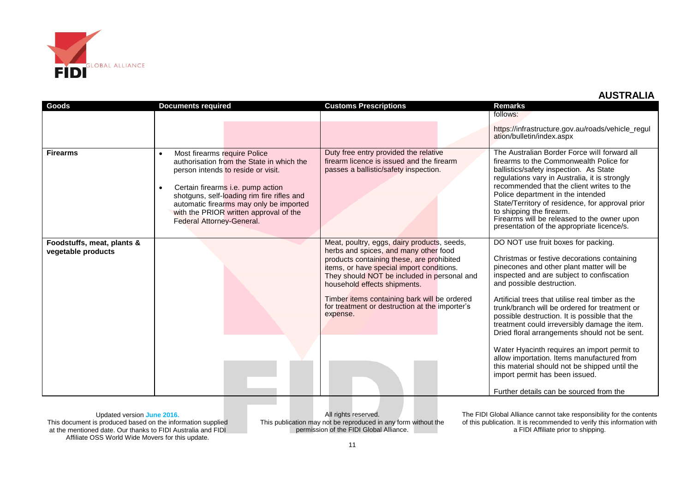

| Goods                                            | <b>Documents required</b>                                                                                                                                                                                                                                                                                                                | <b>Customs Prescriptions</b>                                                                                                                                                                                                                                                                                                                                                | <b>Remarks</b>                                                                                                                                                                                                                                                                                                                                                                                                                                                                                                                                                                                                                                                                              |
|--------------------------------------------------|------------------------------------------------------------------------------------------------------------------------------------------------------------------------------------------------------------------------------------------------------------------------------------------------------------------------------------------|-----------------------------------------------------------------------------------------------------------------------------------------------------------------------------------------------------------------------------------------------------------------------------------------------------------------------------------------------------------------------------|---------------------------------------------------------------------------------------------------------------------------------------------------------------------------------------------------------------------------------------------------------------------------------------------------------------------------------------------------------------------------------------------------------------------------------------------------------------------------------------------------------------------------------------------------------------------------------------------------------------------------------------------------------------------------------------------|
|                                                  |                                                                                                                                                                                                                                                                                                                                          |                                                                                                                                                                                                                                                                                                                                                                             | follows:                                                                                                                                                                                                                                                                                                                                                                                                                                                                                                                                                                                                                                                                                    |
|                                                  |                                                                                                                                                                                                                                                                                                                                          |                                                                                                                                                                                                                                                                                                                                                                             | https://infrastructure.gov.au/roads/vehicle_regul<br>ation/bulletin/index.aspx                                                                                                                                                                                                                                                                                                                                                                                                                                                                                                                                                                                                              |
| <b>Firearms</b>                                  | Most firearms require Police<br>authorisation from the State in which the<br>person intends to reside or visit.<br>Certain firearms i.e. pump action<br>$\bullet$<br>shotguns, self-loading rim fire rifles and<br>automatic firearms may only be imported<br>with the PRIOR written approval of the<br><b>Federal Attorney-General.</b> | Duty free entry provided the relative<br>firearm licence is issued and the firearm<br>passes a ballistic/safety inspection.                                                                                                                                                                                                                                                 | The Australian Border Force will forward all<br>firearms to the Commonwealth Police for<br>ballistics/safety inspection. As State<br>regulations vary in Australia, it is strongly<br>recommended that the client writes to the<br>Police department in the intended<br>State/Territory of residence, for approval prior<br>to shipping the firearm.<br>Firearms will be released to the owner upon<br>presentation of the appropriate licence/s.                                                                                                                                                                                                                                           |
| Foodstuffs, meat, plants &<br>vegetable products |                                                                                                                                                                                                                                                                                                                                          | Meat, poultry, eggs, dairy products, seeds,<br>herbs and spices, and many other food<br>products containing these, are prohibited<br>items, or have special import conditions.<br>They should NOT be included in personal and<br>household effects shipments.<br>Timber items containing bark will be ordered<br>for treatment or destruction at the importer's<br>expense. | DO NOT use fruit boxes for packing.<br>Christmas or festive decorations containing<br>pinecones and other plant matter will be<br>inspected and are subject to confiscation<br>and possible destruction.<br>Artificial trees that utilise real timber as the<br>trunk/branch will be ordered for treatment or<br>possible destruction. It is possible that the<br>treatment could irreversibly damage the item.<br>Dried floral arrangements should not be sent.<br>Water Hyacinth requires an import permit to<br>allow importation. Items manufactured from<br>this material should not be shipped until the<br>import permit has been issued.<br>Further details can be sourced from the |

Updated version **June 2016.** This document is produced based on the information supplied at the mentioned date. Our thanks to FIDI Australia and FIDI Affiliate OSS World Wide Movers for this update.

All rights reserved. This publication may not be reproduced in any form without the permission of the FIDI Global Alliance.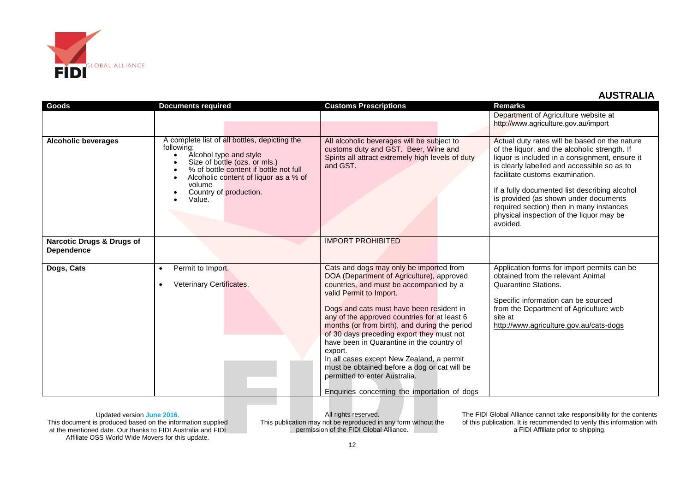

| Goods                                                     | <b>Documents required</b>                                                                                                                                                                                                                               | <b>Customs Prescriptions</b>                                                                                                                        | <b>Remarks</b>                                                                                                                                                                                                                                                                                                                                                                                                                   |
|-----------------------------------------------------------|---------------------------------------------------------------------------------------------------------------------------------------------------------------------------------------------------------------------------------------------------------|-----------------------------------------------------------------------------------------------------------------------------------------------------|----------------------------------------------------------------------------------------------------------------------------------------------------------------------------------------------------------------------------------------------------------------------------------------------------------------------------------------------------------------------------------------------------------------------------------|
|                                                           |                                                                                                                                                                                                                                                         |                                                                                                                                                     | Department of Agriculture website at                                                                                                                                                                                                                                                                                                                                                                                             |
|                                                           |                                                                                                                                                                                                                                                         |                                                                                                                                                     | http://www.agriculture.gov.au/import                                                                                                                                                                                                                                                                                                                                                                                             |
|                                                           |                                                                                                                                                                                                                                                         |                                                                                                                                                     |                                                                                                                                                                                                                                                                                                                                                                                                                                  |
| <b>Alcoholic beverages</b>                                | A complete list of all bottles, depicting the<br>following:<br>Alcohol type and style<br>Size of bottle (ozs. or mls.)<br>% of bottle content if bottle not full<br>Alcoholic content of liquor as a % of<br>volume<br>Country of production.<br>Value. | All alcoholic beverages will be subject to<br>customs duty and GST. Beer, Wine and<br>Spirits all attract extremely high levels of duty<br>and GST. | Actual duty rates will be based on the nature<br>of the liquor, and the alcoholic strength. If<br>liquor is included in a consignment, ensure it<br>is clearly labelled and accessible so as to<br>facilitate customs examination.<br>If a fully documented list describing alcohol<br>is provided (as shown under documents<br>required section) then in many instances<br>physical inspection of the liquor may be<br>avoided. |
| <b>Narcotic Drugs &amp; Drugs of</b><br><b>Dependence</b> |                                                                                                                                                                                                                                                         | <b>IMPORT PROHIBITED</b>                                                                                                                            |                                                                                                                                                                                                                                                                                                                                                                                                                                  |
| Dogs, Cats                                                | Permit to Import.<br>$\bullet$                                                                                                                                                                                                                          | Cats and dogs may only be imported from                                                                                                             | Application forms for import permits can be<br>obtained from the relevant Animal                                                                                                                                                                                                                                                                                                                                                 |
|                                                           | Veterinary Certificates.<br>$\bullet$                                                                                                                                                                                                                   | DOA (Department of Agriculture), approved<br>countries, and must be accompanied by a                                                                | <b>Quarantine Stations.</b>                                                                                                                                                                                                                                                                                                                                                                                                      |
|                                                           |                                                                                                                                                                                                                                                         | valid Permit to Import.                                                                                                                             |                                                                                                                                                                                                                                                                                                                                                                                                                                  |
|                                                           |                                                                                                                                                                                                                                                         |                                                                                                                                                     | Specific information can be sourced                                                                                                                                                                                                                                                                                                                                                                                              |
|                                                           |                                                                                                                                                                                                                                                         | Dogs and cats must have been resident in                                                                                                            | from the Department of Agriculture web                                                                                                                                                                                                                                                                                                                                                                                           |
|                                                           |                                                                                                                                                                                                                                                         | any of the approved countries for at least 6                                                                                                        | site at                                                                                                                                                                                                                                                                                                                                                                                                                          |
|                                                           |                                                                                                                                                                                                                                                         | months (or from birth), and during the period<br>of 30 days preceding export they must not                                                          | http://www.agriculture.gov.au/cats-dogs                                                                                                                                                                                                                                                                                                                                                                                          |
|                                                           |                                                                                                                                                                                                                                                         | have been in Quarantine in the country of                                                                                                           |                                                                                                                                                                                                                                                                                                                                                                                                                                  |
|                                                           |                                                                                                                                                                                                                                                         | export.                                                                                                                                             |                                                                                                                                                                                                                                                                                                                                                                                                                                  |
|                                                           |                                                                                                                                                                                                                                                         | In all cases except New Zealand, a permit                                                                                                           |                                                                                                                                                                                                                                                                                                                                                                                                                                  |
|                                                           |                                                                                                                                                                                                                                                         | must be obtained before a dog or cat will be                                                                                                        |                                                                                                                                                                                                                                                                                                                                                                                                                                  |
|                                                           |                                                                                                                                                                                                                                                         | permitted to enter Australia.                                                                                                                       |                                                                                                                                                                                                                                                                                                                                                                                                                                  |
|                                                           |                                                                                                                                                                                                                                                         | Enquiries concerning the importation of dogs                                                                                                        |                                                                                                                                                                                                                                                                                                                                                                                                                                  |

Updated version **June 2016.** This document is produced based on the information supplied at the mentioned date. Our thanks to FIDI Australia and FIDI Affiliate OSS World Wide Movers for this update.

All rights reserved. This publication may not be reproduced in any form without the permission of the FIDI Global Alliance.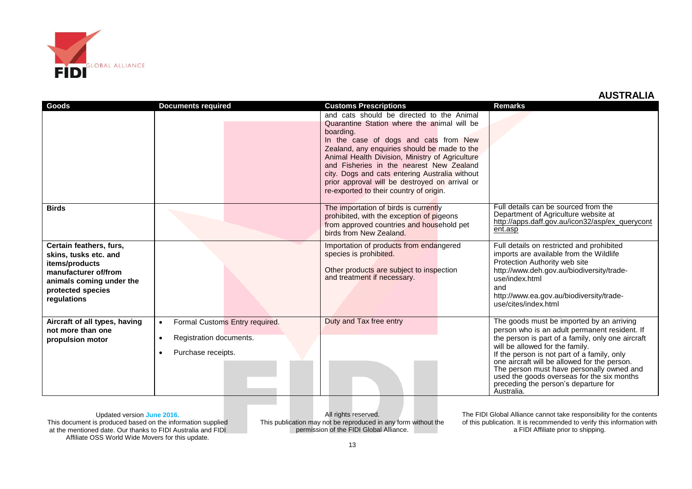

| Goods                         | <b>Documents required</b>                   | <b>Customs Prescriptions</b>                    | <b>Remarks</b>                                                                              |
|-------------------------------|---------------------------------------------|-------------------------------------------------|---------------------------------------------------------------------------------------------|
|                               |                                             | and cats should be directed to the Animal       |                                                                                             |
|                               |                                             | Quarantine Station where the animal will be     |                                                                                             |
|                               |                                             | boarding.                                       |                                                                                             |
|                               |                                             | In the case of dogs and cats from New           |                                                                                             |
|                               |                                             | Zealand, any enquiries should be made to the    |                                                                                             |
|                               |                                             | Animal Health Division, Ministry of Agriculture |                                                                                             |
|                               |                                             | and Fisheries in the nearest New Zealand        |                                                                                             |
|                               |                                             | city. Dogs and cats entering Australia without  |                                                                                             |
|                               |                                             | prior approval will be destroyed on arrival or  |                                                                                             |
|                               |                                             | re-exported to their country of origin.         |                                                                                             |
|                               |                                             |                                                 |                                                                                             |
| <b>Birds</b>                  |                                             | The importation of birds is currently           | Full details can be sourced from the                                                        |
|                               |                                             | prohibited, with the exception of pigeons       | Department of Agriculture website at                                                        |
|                               |                                             | from approved countries and household pet       | http://apps.daff.gov.au/icon32/asp/ex_querycont<br>ent.asp                                  |
|                               |                                             | birds from New Zealand.                         |                                                                                             |
| Certain feathers, furs,       |                                             | Importation of products from endangered         | Full details on restricted and prohibited                                                   |
| skins, tusks etc. and         |                                             | species is prohibited.                          | imports are available from the Wildlife                                                     |
| items/products                |                                             |                                                 | Protection Authority web site                                                               |
| manufacturer of/from          |                                             | Other products are subject to inspection        | http://www.deh.gov.au/biodiversity/trade-                                                   |
| animals coming under the      |                                             | and treatment if necessary.                     | use/index.html                                                                              |
| protected species             |                                             |                                                 | and                                                                                         |
| regulations                   |                                             |                                                 | http://www.ea.gov.au/biodiversity/trade-                                                    |
|                               |                                             |                                                 | use/cites/index.html                                                                        |
|                               |                                             |                                                 |                                                                                             |
| Aircraft of all types, having | Formal Customs Entry required.<br>$\bullet$ | Duty and Tax free entry                         | The goods must be imported by an arriving                                                   |
| not more than one             |                                             |                                                 | person who is an adult permanent resident. If                                               |
| propulsion motor              | Registration documents.<br>$\bullet$        |                                                 | the person is part of a family, only one aircraft                                           |
|                               | Purchase receipts.<br>$\bullet$             |                                                 | will be allowed for the family.                                                             |
|                               |                                             |                                                 | If the person is not part of a family, only<br>one aircraft will be allowed for the person. |
|                               |                                             |                                                 | The person must have personally owned and                                                   |
|                               |                                             |                                                 | used the goods overseas for the six months                                                  |
|                               |                                             |                                                 | preceding the person's departure for                                                        |
|                               |                                             |                                                 | Australia.                                                                                  |

Updated version **June 2016.** This document is produced based on the information supplied at the mentioned date. Our thanks to FIDI Australia and FIDI Affiliate OSS World Wide Movers for this update.

All rights reserved. This publication may not be reproduced in any form without the permission of the FIDI Global Alliance.